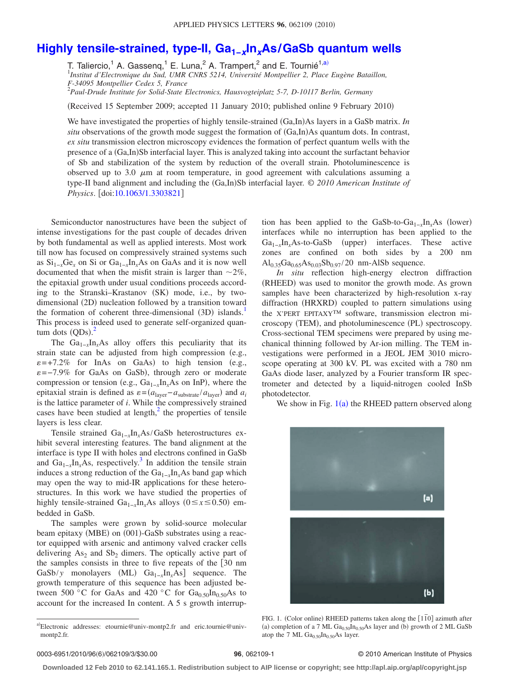## **[Highly tensile-strained, type-II, Ga1−](http://dx.doi.org/10.1063/1.3303821)***x***In***x***As/GaSb quantum wells**

T. Taliercio,<sup>1</sup> A. Gassenq,<sup>1</sup> E. Luna,<sup>2</sup> A. Trampert,<sup>2</sup> and E. Tournié<sup>1[,a](#page-0-0))</sup>

1 *Institut d'Electronique du Sud, UMR CNRS 5214, Université Montpellier 2, Place Eugène Bataillon,*

*F-34095 Montpellier Cedex 5, France*

2 *Paul-Drude Institute for Solid-State Electronics, Hausvogteiplatz 5-7, D-10117 Berlin, Germany*

(Received 15 September 2009; accepted 11 January 2010; published online 9 February 2010)

We have investigated the properties of highly tensile-strained (Ga,In)As layers in a GaSb matrix. *In* situ observations of the growth mode suggest the formation of (Ga,In)As quantum dots. In contrast, *ex situ* transmission electron microscopy evidences the formation of perfect quantum wells with the presence of a (Ga,In)Sb interfacial layer. This is analyzed taking into account the surfactant behavior of Sb and stabilization of the system by reduction of the overall strain. Photoluminescence is observed up to 3.0  $\mu$ m at room temperature, in good agreement with calculations assuming a type-II band alignment and including the (Ga,In)Sb interfacial layer. © 2010 American Institute of *Physics*. [doi[:10.1063/1.3303821](http://dx.doi.org/10.1063/1.3303821)]

Semiconductor nanostructures have been the subject of intense investigations for the past couple of decades driven by both fundamental as well as applied interests. Most work till now has focused on compressively strained systems such as  $Si_{1-x}Ge_x$  on Si or  $Ga_{1-x}In_xAs$  on GaAs and it is now well documented that when the misfit strain is larger than  $\sim$ 2%, the epitaxial growth under usual conditions proceeds according to the Stranski-Krastanov (SK) mode, i.e., by twodimensional (2D) nucleation followed by a transition toward the formation of coherent three-dimensional (3D) islands.<sup>1</sup> This process is indeed used to generate self-organized quantum dots  $(QDs)$ .<sup>[2](#page-2-1)</sup>

The  $Ga_{1-x}In_xAs$  alloy offers this peculiarity that its strain state can be adjusted from high compression (e.g.,  $\varepsilon$ =+7.2% for InAs on GaAs) to high tension (e.g.,  $\varepsilon$ =-7.9% for GaAs on GaSb), through zero or moderate compression or tension (e.g., Ga<sub>1−*x*</sub>In<sub>*x*</sub>As on InP), where the epitaxial strain is defined as  $\varepsilon = (a_{\text{layer}} - a_{\text{substrate}}/a_{\text{layer}})$  and  $a_i$ is the lattice parameter of *i*. While the compressively strained cases have been studied at length, $\frac{2}{3}$  the properties of tensile layers is less clear.

Tensile strained Ga1−*x*In*x*As/GaSb heterostructures exhibit several interesting features. The band alignment at the interface is type II with holes and electrons confined in GaSb and  $Ga_{1-x}In_xAs$ , respectively.<sup>3</sup> In addition the tensile strain induces a strong reduction of the Ga1−*x*In*x*As band gap which may open the way to mid-IR applications for these heterostructures. In this work we have studied the properties of highly tensile-strained  $Ga_{1-x}In_xAs$  alloys  $(0 \le x \le 0.50)$  embedded in GaSb.

The samples were grown by solid-source molecular beam epitaxy (MBE) on (001)-GaSb substrates using a reactor equipped with arsenic and antimony valved cracker cells delivering  $As_2$  and  $Sb_2$  dimers. The optically active part of the samples consists in three to five repeats of the [30 nm GaSb/y monolayers (ML)  $Ga_{1-x}In_xAs$ ] sequence. The growth temperature of this sequence has been adjusted between 500 °C for GaAs and 420 °C for Ga<sub>0.50</sub>In<sub>0.50</sub>As to account for the increased In content. A 5 s growth interrup-

tion has been applied to the GaSb-to-Ga<sub>1−*x*</sub>In<sub>*x*</sub>As (lower)</sub> interfaces while no interruption has been applied to the Ga<sub>1−*x*</sub>In<sub>*x*</sub>As-to-GaSb (upper) interfaces. These active zones are confined on both sides by a 200 nm  $\text{Al}_{0.35}\text{Ga}_{0.65}\text{As}_{0.03}\text{Sb}_{0.97}/20$  nm-AlSb sequence.

*In situ* reflection high-energy electron diffraction (RHEED) was used to monitor the growth mode. As grown samples have been characterized by high-resolution x-ray diffraction (HRXRD) coupled to pattern simulations using the X'PERT EPITAXY™ software, transmission electron microscopy (TEM), and photoluminescence (PL) spectroscopy. Cross-sectional TEM specimens were prepared by using mechanical thinning followed by Ar-ion milling. The TEM investigations were performed in a JEOL JEM 3010 microscope operating at 300 kV. PL was excited with a 780 nm GaAs diode laser, analyzed by a Fourier transform IR spectrometer and detected by a liquid-nitrogen cooled InSb photodetector.

<span id="page-0-1"></span>We show in Fig.  $1(a)$  $1(a)$  the RHEED pattern observed along



FIG. 1. (Color online) RHEED patterns taken along the [1<sup>*T*0]</sup> azimuth after (a) completion of a 7 ML  $Ga<sub>0.50</sub>In<sub>0.50</sub>As layer and (b) growth of 2 ML GaSb$ atop the 7 ML  $Ga<sub>0.50</sub> In<sub>0.50</sub> As layer.$ 

## **96**, 062109-1 © 2010 American Institute of Physics

**Downloaded 12 Feb 2010 to 62.141.165.1. Redistribution subject to AIP license or copyright; see http://apl.aip.org/apl/copyright.jsp**

<span id="page-0-0"></span>a)Electronic addresses: etournie@univ-montp2.fr and eric.tournie@univmontp2.fr.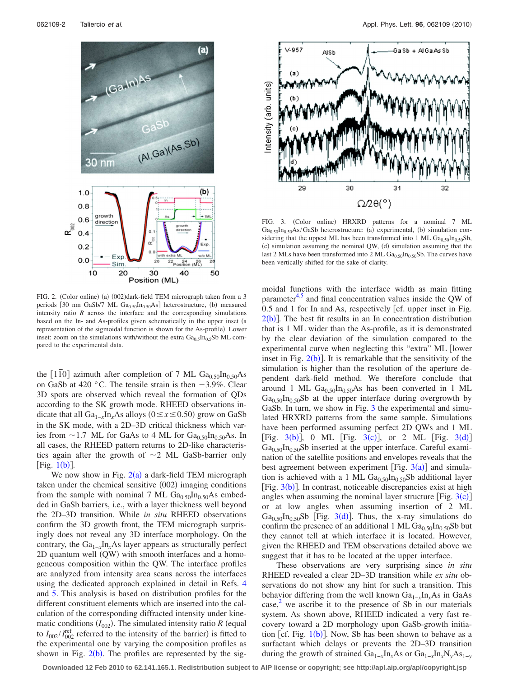<span id="page-1-0"></span>

FIG. 2. (Color online) (a) (002)dark-field TEM micrograph taken from a 3 periods [30 nm GaSb/7 ML  $Ga_{0.50}In_{0.50}As$ ] heterostructure, (b) measured intensity ratio *R* across the interface and the corresponding simulations based on the In- and As-profiles given schematically in the upper inset (a representation of the sigmoidal function is shown for the As-profile). Lower inset: zoom on the simulations with/without the extra  $Ga<sub>0.5</sub>In<sub>0.5</sub>Sb ML$  compared to the experimental data.

the  $[1\bar{1}0]$  azimuth after completion of 7 ML Ga<sub>0.50</sub>In<sub>0.50</sub>As on GaSb at 420 °C. The tensile strain is then  $-3.9\%$ . Clear 3D spots are observed which reveal the formation of QDs according to the SK growth mode. RHEED observations indicate that all  $Ga_{1-x}In_xAs$  alloys ( $0 \le x \le 0.50$ ) grow on GaSb in the SK mode, with a 2D–3D critical thickness which varies from  $\sim$  1.7 ML for GaAs to 4 ML for Ga<sub>0.50</sub>In<sub>0.50</sub>As. In all cases, the RHEED pattern returns to 2D-like characteristics again after the growth of  $\sim$ 2 ML GaSb-barrier only [Fig.  $1(b)$  $1(b)$ ].

We now show in Fig.  $2(a)$  $2(a)$  a dark-field TEM micrograph taken under the chemical sensitive (002) imaging conditions from the sample with nominal 7 ML  $Ga<sub>0.50</sub> In<sub>0.50</sub> As embed$ ded in GaSb barriers, i.e., with a layer thickness well beyond the 2D–3D transition. While *in situ* RHEED observations confirm the 3D growth front, the TEM micrograph surprisingly does not reveal any 3D interface morphology. On the contrary, the Ga<sub>1−*x*</sub>In<sub>*x*</sub>As layer appears as structurally perfect 2D quantum well (QW) with smooth interfaces and a homogeneous composition within the QW. The interface profiles are analyzed from intensity area scans across the interfaces using the dedicated approach explained in detail in Refs. [4](#page-2-3) and [5.](#page-2-4) This analysis is based on distribution profiles for the different constituent elements which are inserted into the calculation of the corresponding diffracted intensity under kinematic conditions  $(I_{002})$ . The simulated intensity ratio *R* (equal to  $I_{002}/I_{002}^{\text{ref}}$  referred to the intensity of the barrier) is fitted to the experimental one by varying the composition profiles as shown in Fig.  $2(b)$  $2(b)$ . The profiles are represented by the sig-

<span id="page-1-1"></span>

FIG. 3. (Color online) HRXRD patterns for a nominal 7 ML  $Ga<sub>0.50</sub> In<sub>0.50</sub> As/GaSb heterostructure: (a) experimental, (b) simulation con$ sidering that the uppest ML has been transformed into 1 ML  $Ga<sub>0.50</sub>In<sub>0.50</sub>Sh$ , (c) simulation assuming the nominal QW, (d) simulation assuming that the last 2 MLs have been transformed into 2 ML  $Ga<sub>0.50</sub>In<sub>0.50</sub>Sb$ . The curves have been vertically shifted for the sake of clarity.

moidal functions with the interface width as main fitting parameter $4.5$  and final concentration values inside the QW of  $0.5$  and 1 for In and As, respectively [cf. upper inset in Fig.  $2(b)$  $2(b)$ . The best fit results in an In concentration distribution that is 1 ML wider than the As-profile, as it is demonstrated by the clear deviation of the simulation compared to the experimental curve when neglecting this "extra" ML [lower inset in Fig.  $2(b)$  $2(b)$ ]. It is remarkable that the sensitivity of the simulation is higher than the resolution of the aperture dependent dark-field method. We therefore conclude that around 1 ML  $Ga<sub>0.50</sub>In<sub>0.50</sub>As has been converted in 1 ML$  $Ga<sub>0.50</sub>In<sub>0.50</sub>$ Sb at the upper interface during overgrowth by GaSb. In turn, we show in Fig. [3](#page-1-1) the experimental and simulated HRXRD patterns from the same sample. Simulations have been performed assuming perfect 2D QWs and 1 ML [Fig.  $3(b)$  $3(b)$ ], 0 ML [Fig.  $3(c)$ ], or 2 ML [Fig.  $3(d)$ ]  $Ga<sub>0.50</sub> In<sub>0.50</sub>$ Sb inserted at the upper interface. Careful examination of the satellite positions and envelopes reveals that the best agreement between experiment [Fig.  $3(a)$  $3(a)$ ] and simulation [is ach](#page-1-1)ieved with a 1 ML  $Ga<sub>0.50</sub>In<sub>0.50</sub>Sb$  additional layer [Fig. 3(b)]. In contrast, noticeable discrepancies exist at high angles when assuming the nominal layer structure [Fig.  $3(c)$  $3(c)$ ] or at low angles when assuming insertion of 2 ML  $Ga_{0.50}In_{0.50}Sb$  [Fig. [3](#page-1-1)(d)]. Thus, the x-ray simulations do confirm the presence of an additional 1 ML  $Ga_{0.50}In_{0.50}Sb$  but they cannot tell at which interface it is located. However, given the RHEED and TEM observations detailed above we suggest that it has to be located at the upper interface.

These observations are very surprising since *in situ* RHEED revealed a clear 2D–3D transition while *ex situ* observations do not show any hint for such a transition. This beh[av](#page-2-1)ior differing from the well known Ga1−*x*In*x*As in GaAs case, $^2$  we ascribe it to the presence of Sb in our materials system. As shown above, RHEED indicated a very fast recovery toward a 2D morphology upon GaSb-growth initiation [cf. Fig.  $1(b)$  $1(b)$ ]. Now, Sb has been shown to behave as a surfactant which delays or prevents the 2D–3D transition during the growth of strained Ga1−*x*In*x*As or Ga1−*x*In*x*N*y*As1−*<sup>y</sup>*

**Downloaded 12 Feb 2010 to 62.141.165.1. Redistribution subject to AIP license or copyright; see http://apl.aip.org/apl/copyright.jsp**